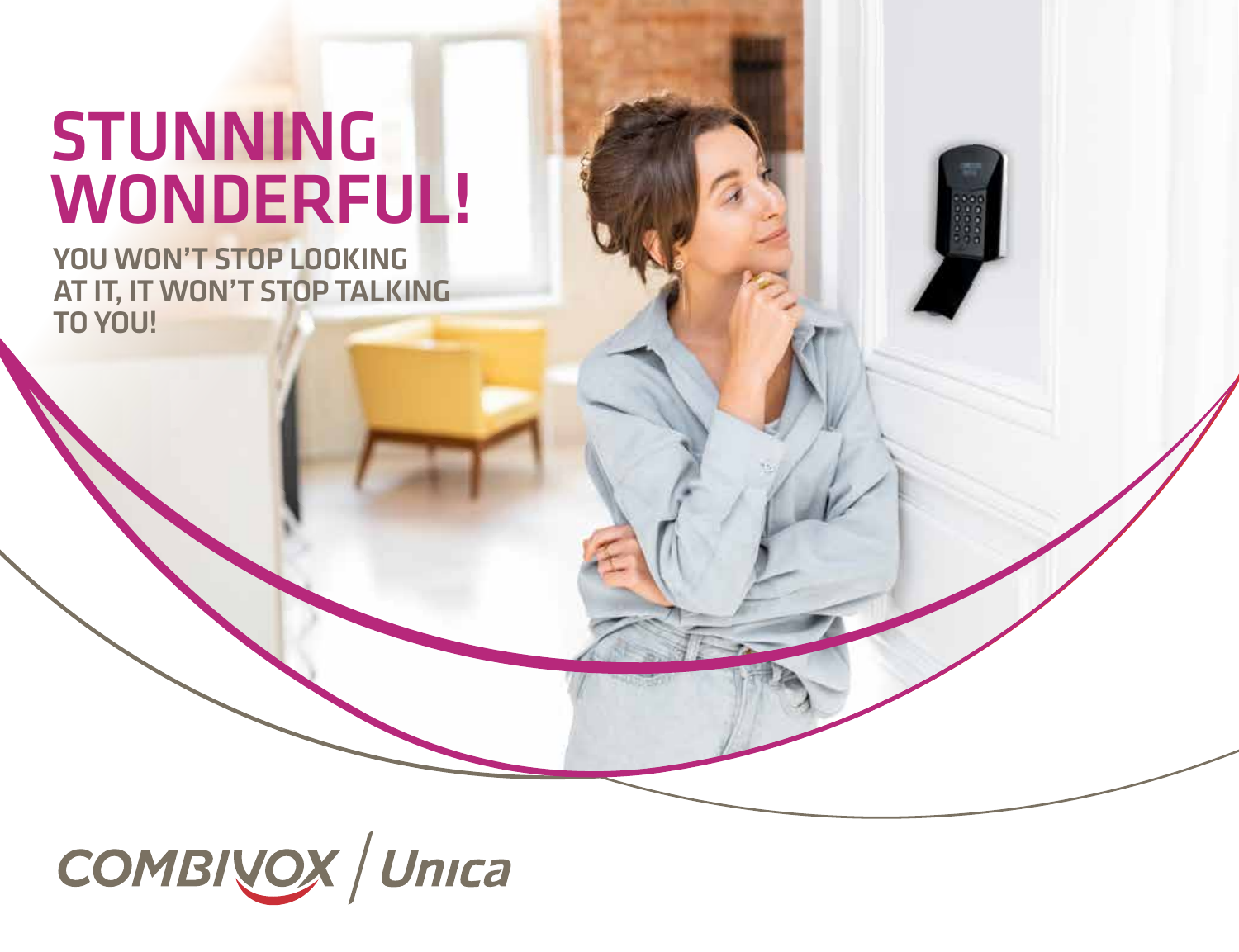# STUNNING WONDERFUL!

YOU WON'T STOP LOOKING AT IT, IT WON'T STOP TALKING TO YOU!

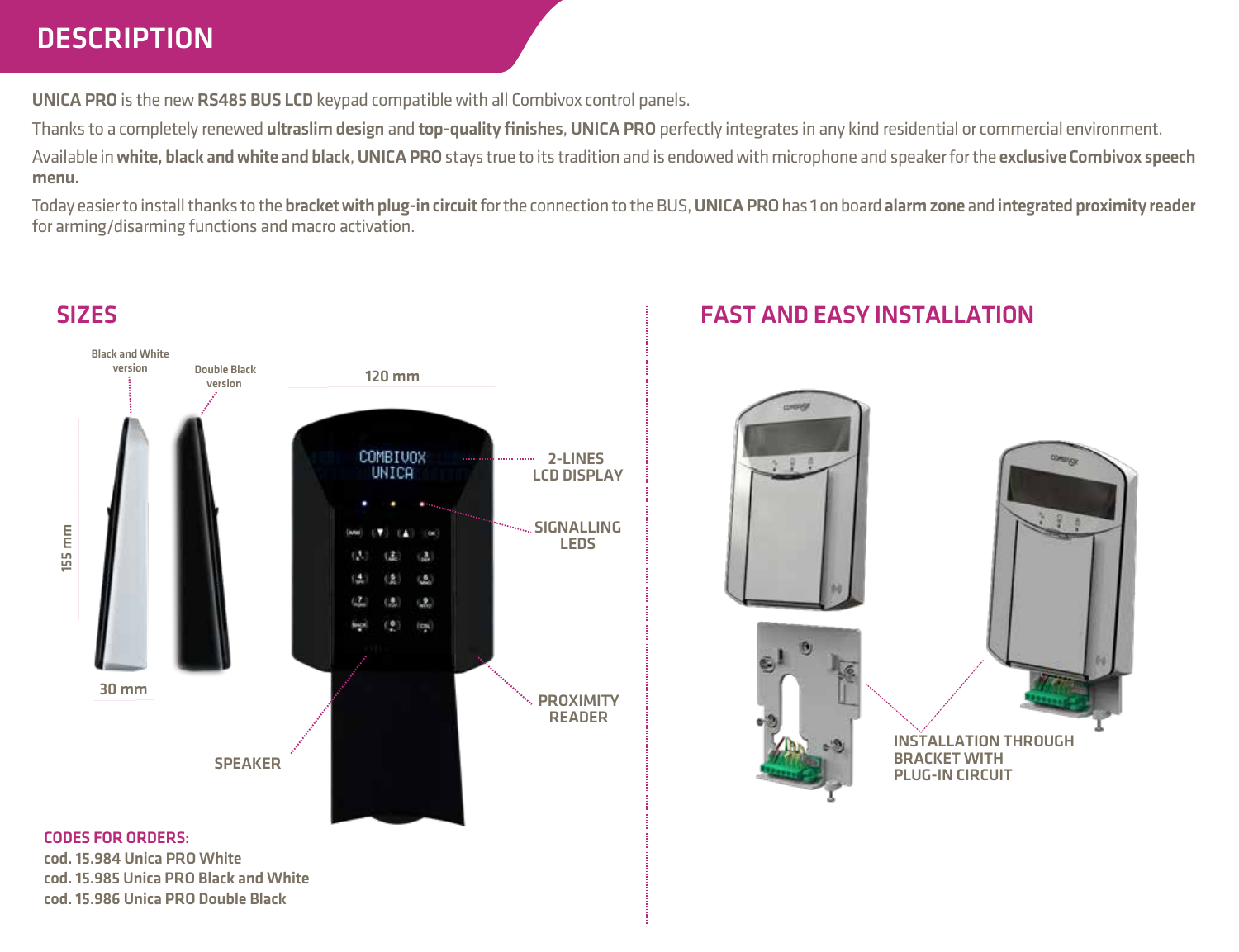# **DESCRIPTION**

cod. 15.986 Unica PRO Double Black

UNICA PRO is the new RS485 BUS LCD keypad compatible with all Combivox control panels.

Thanks to a completely renewed ultraslim design and top-quality finishes, UNICA PRO perfectly integrates in any kind residential or commercial environment.

Available in white, black and white and black, UNICA PRO stays true to its tradition and is endowed with microphone and speaker for the exclusive Combivox speech menu.

Today easier to install thanks to the bracket with plug-in circuit for the connection to the BUS, UNICA PRO has 1 on board alarm zone and integrated proximity reader for arming/disarming functions and macro activation.



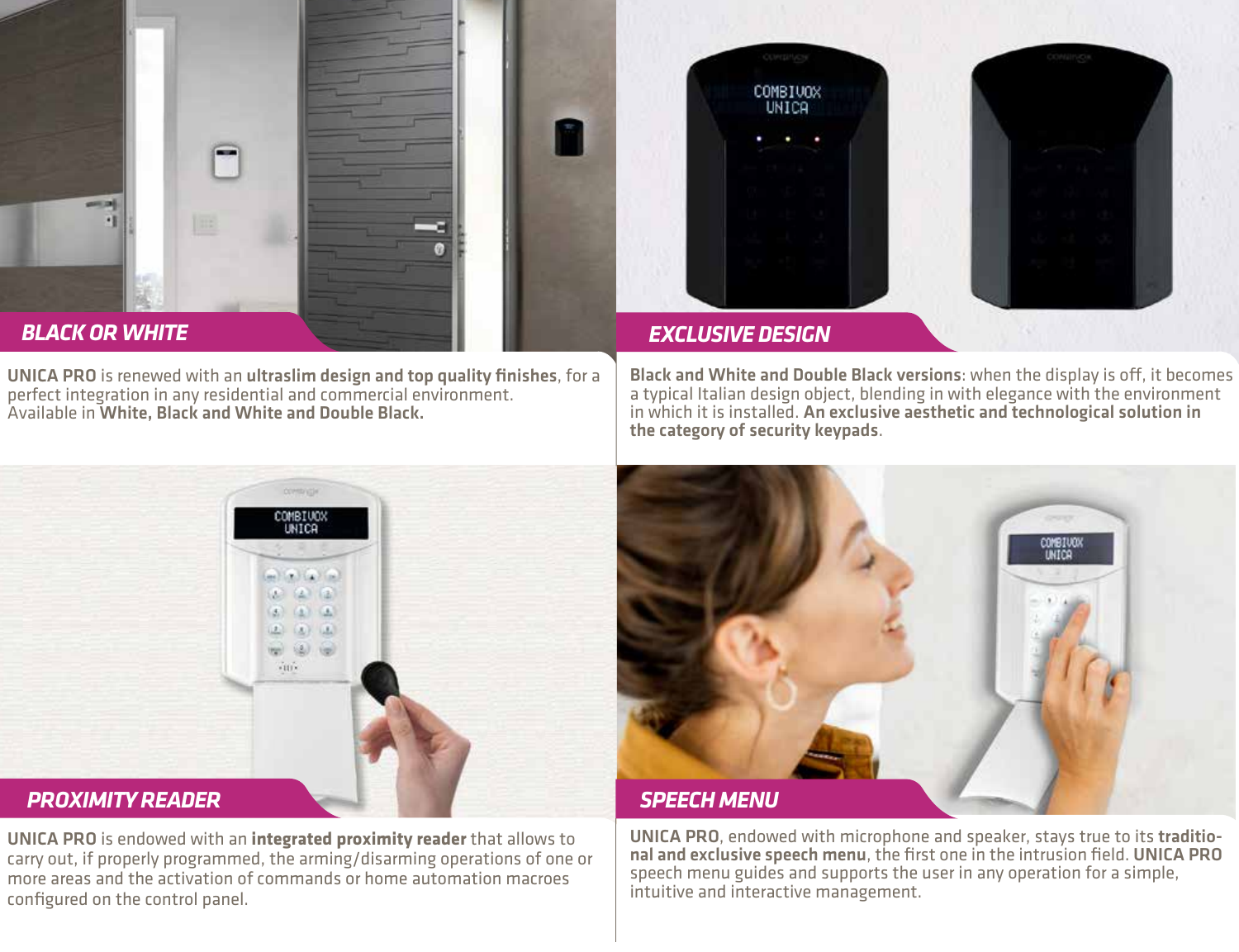

UNICA PRO is renewed with an ultraslim design and top quality finishes, for a perfect integration in any residential and commercial environment. Available in White, Black and White and Double Black.



Black and White and Double Black versions: when the display is off, it becomes a typical Italian design object, blending in with elegance with the environment in which it is installed. An exclusive aesthetic and technological solution in the category of security keypads.



UNICA PRO is endowed with an **integrated proximity reader** that allows to carry out, if properly programmed, the arming/disarming operations of one or more areas and the activation of commands or home automation macroes configured on the control panel.



### *SPEECH MENU*

UNICA PRO, endowed with microphone and speaker, stays true to its traditional and exclusive speech menu, the first one in the intrusion field. UNICA PRO speech menu guides and supports the user in any operation for a simple, intuitive and interactive management.